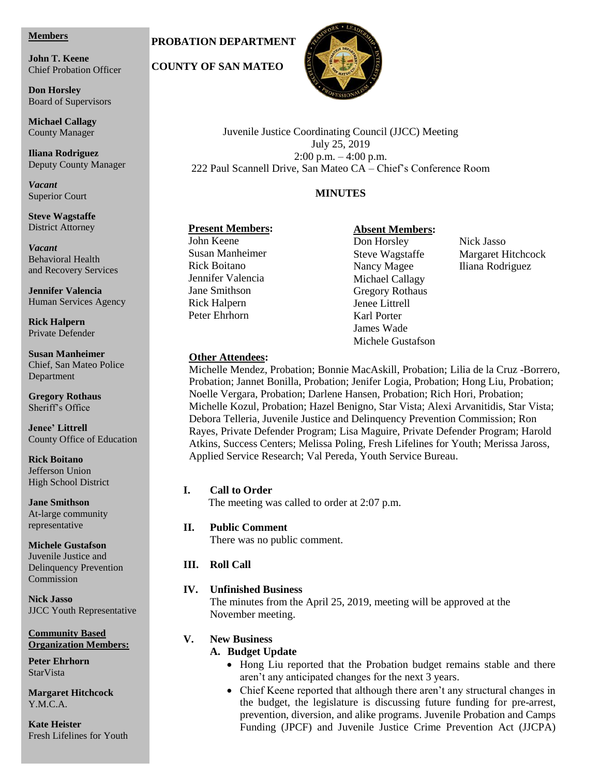#### **Members**

**Chief Probation Officer John T. Keene**

**Board of Supervisors Don Horsley**

**Michael Callagy County Manager** 

County Manager **Iliana Rodriguez** Deputy County Manager

Deputy County Manager *Vacant Vacant* Superior Court

**Steve Wagstaffe** District Attorney

**Vacant** and Recovery Services Behavioral Health

Behavioral Health **Jennifer Valencia Jennner valencia**<br>Human Services Agency

**Rick Halpern Human Services Agency**<br>Private Defender

**Rick Halpern Susan Manheimer** Chief, San Mateo Police **Susan Manheimer** Department

**Gregory Rothaus** Sheriff's Office

**Gregory Rothaus Jenee' Littrell** County Office of Education

**KICK DOITAIIO**<br>Jefferson Union Jefferson Offion<br>High School District **Rick Boitano**

**Rick Boitano Jane Smithson** *At-large community* ric range community<br>representative

**Michele Gustafson** Juvenile Justice and Delinquency Prevention Commission

**Nick Jasso** JJCC Youth Representative

**Organization Members: Community Based** 

**Organization Members: Peter Ehrhorn Peter Edge** 

**Margaret Hitchcock** Y.M.C.A.

**Kate Heister** Fresh Lifelines for Youth

# **PROBATION DEPARTMENT**

 **COUNTY OF SAN MATEO**



Juvenile Justice Coordinating Council (JJCC) Meeting July 25, 2019 2:00 p.m. – 4:00 p.m. 222 Paul Scannell Drive, San Mateo CA – Chief's Conference Room

## **MINUTES**

### **Present Members:**

John Keene Susan Manheimer Rick Boitano Jennifer Valencia Jane Smithson Rick Halpern Peter Ehrhorn

### **Absent Members:**

Don Horsley Nick Jasso Nancy Magee Iliana Rodriguez Michael Callagy Gregory Rothaus Jenee Littrell Karl Porter James Wade Michele Gustafson

Steve Wagstaffe Margaret Hitchcock

### **Other Attendees:**

Michelle Mendez, Probation; Bonnie MacAskill, Probation; Lilia de la Cruz -Borrero, Probation; Jannet Bonilla, Probation; Jenifer Logia, Probation; Hong Liu, Probation; Noelle Vergara, Probation; Darlene Hansen, Probation; Rich Hori, Probation; Michelle Kozul, Probation; Hazel Benigno, Star Vista; Alexi Arvanitidis, Star Vista; Debora Telleria, Juvenile Justice and Delinquency Prevention Commission; Ron Rayes, Private Defender Program; Lisa Maguire, Private Defender Program; Harold Atkins, Success Centers; Melissa Poling, Fresh Lifelines for Youth; Merissa Jaross, Applied Service Research; Val Pereda, Youth Service Bureau.

### **I. Call to Order**

The meeting was called to order at 2:07 p.m.

### **II. Public Comment**

There was no public comment.

### **III. Roll Call**

### **IV. Unfinished Business**

The minutes from the April 25, 2019, meeting will be approved at the November meeting.

### **V. New Business**

### **A. Budget Update**

- Hong Liu reported that the Probation budget remains stable and there aren't any anticipated changes for the next 3 years.
- Chief Keene reported that although there aren't any structural changes in the budget, the legislature is discussing future funding for pre-arrest, prevention, diversion, and alike programs. Juvenile Probation and Camps Funding (JPCF) and Juvenile Justice Crime Prevention Act (JJCPA)